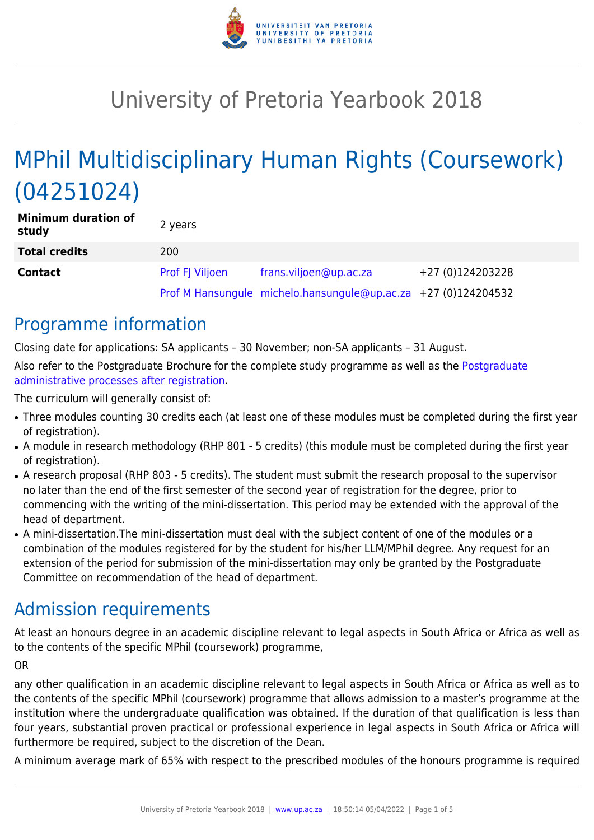

# University of Pretoria Yearbook 2018

# MPhil Multidisciplinary Human Rights (Coursework) (04251024)

| <b>Minimum duration of</b><br>study | 2 years                |                                                                |                  |
|-------------------------------------|------------------------|----------------------------------------------------------------|------------------|
| <b>Total credits</b>                | 200                    |                                                                |                  |
| <b>Contact</b>                      | <b>Prof FJ Viljoen</b> | frans.viljoen@up.ac.za                                         | +27 (0)124203228 |
|                                     |                        | Prof M Hansungule michelo.hansungule@up.ac.za +27 (0)124204532 |                  |

### Programme information

Closing date for applications: SA applicants – 30 November; non-SA applicants – 31 August. Also refer to the Postgraduate Brochure for the complete study programme as well as the [Postgraduate](http://www.up.ac.za/media/shared/10/ZP_Files/post-graduate-administrative-processes-brochures-for-the-faculty-web.zp124870.pdf) [administrative processes after registration.](http://www.up.ac.za/media/shared/10/ZP_Files/post-graduate-administrative-processes-brochures-for-the-faculty-web.zp124870.pdf)

The curriculum will generally consist of:

- Three modules counting 30 credits each (at least one of these modules must be completed during the first year of registration).
- A module in research methodology (RHP 801 5 credits) (this module must be completed during the first year of registration).
- A research proposal (RHP 803 5 credits). The student must submit the research proposal to the supervisor no later than the end of the first semester of the second year of registration for the degree, prior to commencing with the writing of the mini-dissertation. This period may be extended with the approval of the head of department.
- A mini-dissertation. The mini-dissertation must deal with the subject content of one of the modules or a combination of the modules registered for by the student for his/her LLM/MPhil degree. Any request for an extension of the period for submission of the mini-dissertation may only be granted by the Postgraduate Committee on recommendation of the head of department.

### Admission requirements

At least an honours degree in an academic discipline relevant to legal aspects in South Africa or Africa as well as to the contents of the specific MPhil (coursework) programme,

#### OR

any other qualification in an academic discipline relevant to legal aspects in South Africa or Africa as well as to the contents of the specific MPhil (coursework) programme that allows admission to a master's programme at the institution where the undergraduate qualification was obtained. If the duration of that qualification is less than four years, substantial proven practical or professional experience in legal aspects in South Africa or Africa will furthermore be required, subject to the discretion of the Dean.

A minimum average mark of 65% with respect to the prescribed modules of the honours programme is required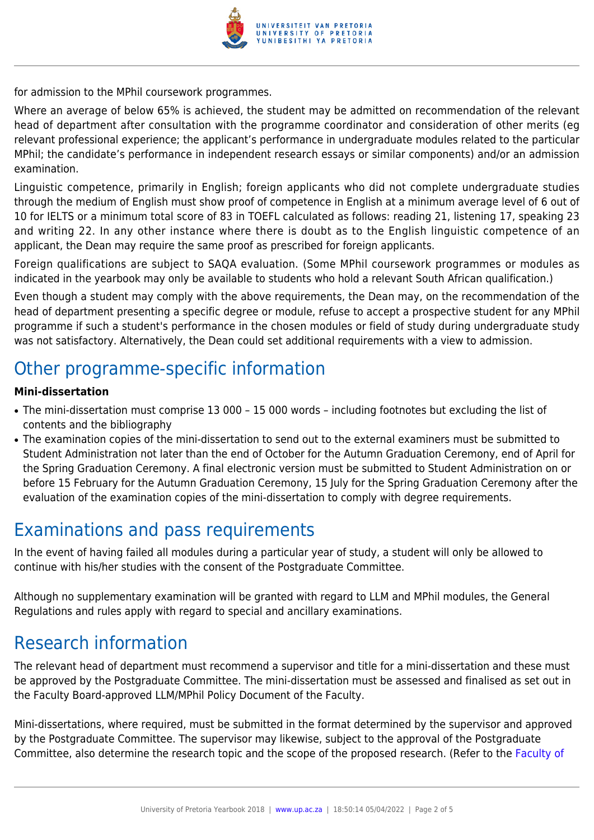

for admission to the MPhil coursework programmes.

Where an average of below 65% is achieved, the student may be admitted on recommendation of the relevant head of department after consultation with the programme coordinator and consideration of other merits (eg relevant professional experience; the applicant's performance in undergraduate modules related to the particular MPhil; the candidate's performance in independent research essays or similar components) and/or an admission examination.

Linguistic competence, primarily in English; foreign applicants who did not complete undergraduate studies through the medium of English must show proof of competence in English at a minimum average level of 6 out of 10 for IELTS or a minimum total score of 83 in TOEFL calculated as follows: reading 21, listening 17, speaking 23 and writing 22. In any other instance where there is doubt as to the English linguistic competence of an applicant, the Dean may require the same proof as prescribed for foreign applicants.

Foreign qualifications are subject to SAQA evaluation. (Some MPhil coursework programmes or modules as indicated in the yearbook may only be available to students who hold a relevant South African qualification.)

Even though a student may comply with the above requirements, the Dean may, on the recommendation of the head of department presenting a specific degree or module, refuse to accept a prospective student for any MPhil programme if such a student's performance in the chosen modules or field of study during undergraduate study was not satisfactory. Alternatively, the Dean could set additional requirements with a view to admission.

### Other programme-specific information

#### **Mini-dissertation**

- The mini-dissertation must comprise 13 000 15 000 words including footnotes but excluding the list of contents and the bibliography
- The examination copies of the mini-dissertation to send out to the external examiners must be submitted to Student Administration not later than the end of October for the Autumn Graduation Ceremony, end of April for the Spring Graduation Ceremony. A final electronic version must be submitted to Student Administration on or before 15 February for the Autumn Graduation Ceremony, 15 July for the Spring Graduation Ceremony after the evaluation of the examination copies of the mini-dissertation to comply with degree requirements.

### Examinations and pass requirements

In the event of having failed all modules during a particular year of study, a student will only be allowed to continue with his/her studies with the consent of the Postgraduate Committee.

Although no supplementary examination will be granted with regard to LLM and MPhil modules, the General Regulations and rules apply with regard to special and ancillary examinations.

### Research information

The relevant head of department must recommend a supervisor and title for a mini-dissertation and these must be approved by the Postgraduate Committee. The mini-dissertation must be assessed and finalised as set out in the Faculty Board-approved LLM/MPhil Policy Document of the Faculty.

Mini-dissertations, where required, must be submitted in the format determined by the supervisor and approved by the Postgraduate Committee. The supervisor may likewise, subject to the approval of the Postgraduate Committee, also determine the research topic and the scope of the proposed research. (Refer to the [Faculty of](http://www.up.ac.za/media/shared/10/ZP_Files/faculty-regulations-for-the-mini-dissertation.zp124872.pdf)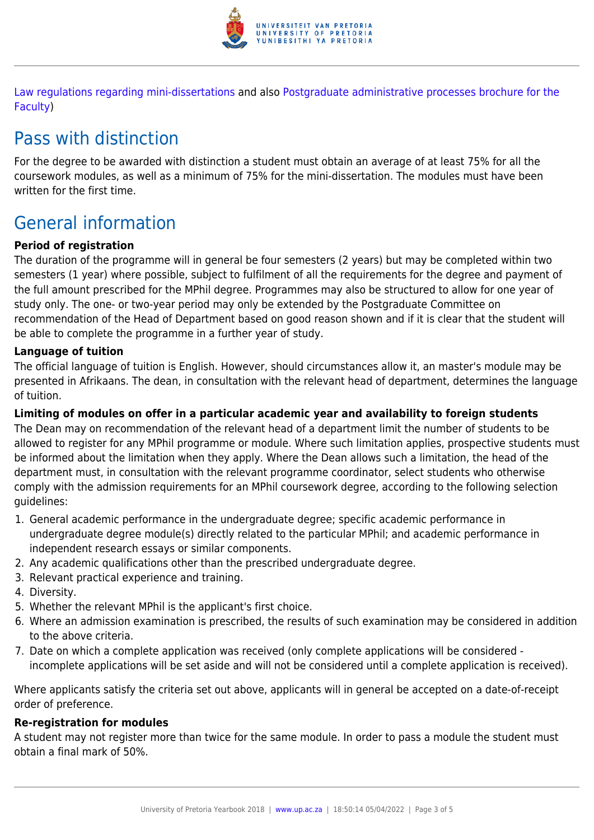

[Law regulations regarding mini-dissertations](http://www.up.ac.za/media/shared/10/ZP_Files/faculty-regulations-for-the-mini-dissertation.zp124872.pdf) and also [Postgraduate administrative processes brochure for the](http://www.up.ac.za/media/shared/10/ZP_Files/post-graduate-administrative-processes-brochures-for-the-faculty-web.zp124870.pdf) [Faculty](http://www.up.ac.za/media/shared/10/ZP_Files/post-graduate-administrative-processes-brochures-for-the-faculty-web.zp124870.pdf))

## Pass with distinction

For the degree to be awarded with distinction a student must obtain an average of at least 75% for all the coursework modules, as well as a minimum of 75% for the mini-dissertation. The modules must have been written for the first time.

## General information

#### **Period of registration**

The duration of the programme will in general be four semesters (2 years) but may be completed within two semesters (1 year) where possible, subject to fulfilment of all the requirements for the degree and payment of the full amount prescribed for the MPhil degree. Programmes may also be structured to allow for one year of study only. The one- or two-year period may only be extended by the Postgraduate Committee on recommendation of the Head of Department based on good reason shown and if it is clear that the student will be able to complete the programme in a further year of study.

#### **Language of tuition**

The official language of tuition is English. However, should circumstances allow it, an master's module may be presented in Afrikaans. The dean, in consultation with the relevant head of department, determines the language of tuition.

#### **Limiting of modules on offer in a particular academic year and availability to foreign students**

The Dean may on recommendation of the relevant head of a department limit the number of students to be allowed to register for any MPhil programme or module. Where such limitation applies, prospective students must be informed about the limitation when they apply. Where the Dean allows such a limitation, the head of the department must, in consultation with the relevant programme coordinator, select students who otherwise comply with the admission requirements for an MPhil coursework degree, according to the following selection guidelines:

- 1. General academic performance in the undergraduate degree; specific academic performance in undergraduate degree module(s) directly related to the particular MPhil; and academic performance in independent research essays or similar components.
- 2. Any academic qualifications other than the prescribed undergraduate degree.
- 3. Relevant practical experience and training.
- 4. Diversity.
- 5. Whether the relevant MPhil is the applicant's first choice.
- 6. Where an admission examination is prescribed, the results of such examination may be considered in addition to the above criteria.
- 7. Date on which a complete application was received (only complete applications will be considered incomplete applications will be set aside and will not be considered until a complete application is received).

Where applicants satisfy the criteria set out above, applicants will in general be accepted on a date-of-receipt order of preference.

#### **Re-registration for modules**

A student may not register more than twice for the same module. In order to pass a module the student must obtain a final mark of 50%.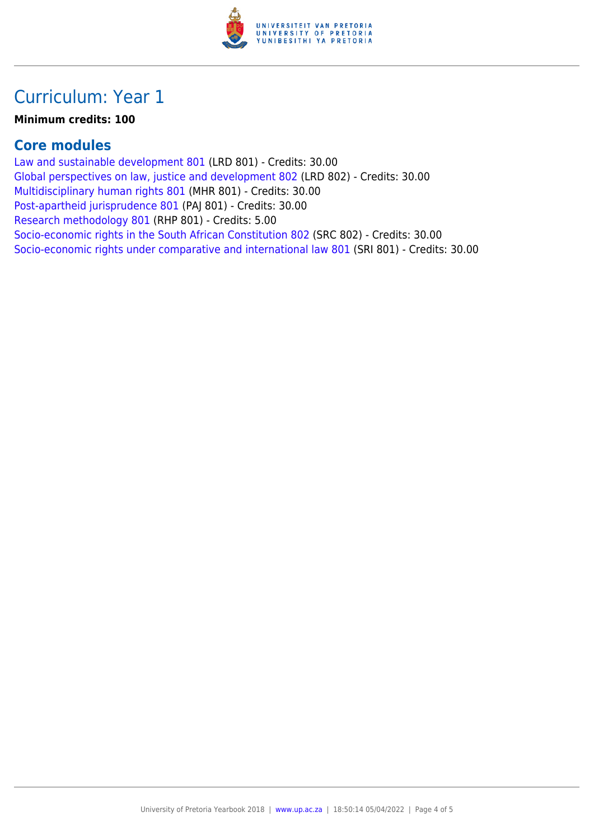

### Curriculum: Year 1

#### **Minimum credits: 100**

### **Core modules**

[Law and sustainable development 801](https://www.up.ac.za/yearbooks/2018/modules/view/LRD 801) (LRD 801) - Credits: 30.00 [Global perspectives on law, justice and development 802](https://www.up.ac.za/yearbooks/2018/modules/view/LRD 802) (LRD 802) - Credits: 30.00 [Multidisciplinary human rights 801](https://www.up.ac.za/yearbooks/2018/modules/view/MHR 801) (MHR 801) - Credits: 30.00 [Post-apartheid jurisprudence 801](https://www.up.ac.za/yearbooks/2018/modules/view/PAJ 801) (PAJ 801) - Credits: 30.00 [Research methodology 801](https://www.up.ac.za/yearbooks/2018/modules/view/RHP 801) (RHP 801) - Credits: 5.00 [Socio-economic rights in the South African Constitution 802](https://www.up.ac.za/yearbooks/2018/modules/view/SRC 802) (SRC 802) - Credits: 30.00 [Socio-economic rights under comparative and international law 801](https://www.up.ac.za/yearbooks/2018/modules/view/SRI 801) (SRI 801) - Credits: 30.00